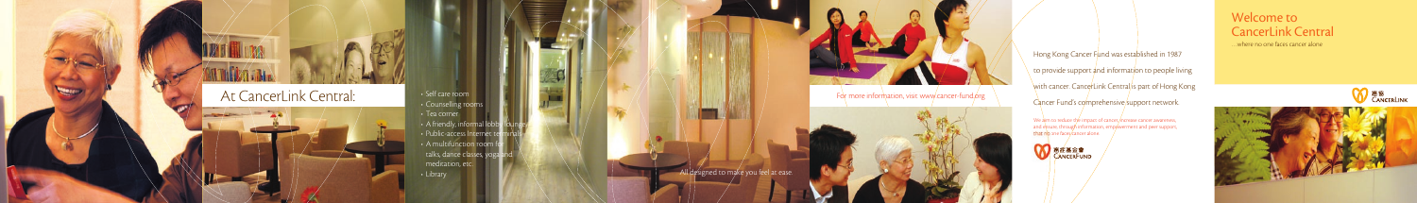• Breast Cancer Care Room • Meditation room • Café bar

 $\mathbb{P}^2$  - A multifunction  $\mathbb{P}^2$ 

- Hong Kong Cancer F<mark>und was esta</mark>blished in 1987
- $\setminus$  to provide support and information to people living
- with cancer. CancerLink Central/is part of Hong Kong
- Cancer Fund's comprehensive support network.

…where no one faces cancer alone





## Welcome to CancerLink Central

• Self care room • Counselling rooms • Tea corner  $\cdot$  A friendly, informal lobby • Public-access Internet ter  $\cdot$  A multifunction room for talks, dance classes, yoga meditation, etc. • Library



For more information, visit www.cancer-fund.org

We aim to reduce the impact of cancer, increase cancer awareness, and ensure, through information, empowerment and peer support, that no one faces cancer alone.



All designed to make you feel at ease.

## At CancerLink Central: